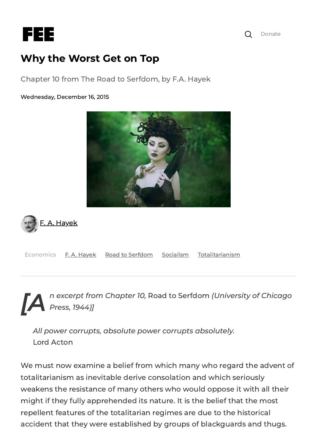

## Why the Worst Get on Top

Chapter 10 from The Road to Serfdom, by F.A. Hayek

Wednesday, December 16, 2015



[Donate](https://fee.org/donate)

 $\Omega$ 





*[A n excerpt from Chapter 10,* Road to Serfdom *(University of Chicago Press, 1944)]*

*All power corrupts, absolute power corrupts absolutely.* Lord Acton

We must now examine a belief from which many who regard the advent of totalitarianism as inevitable derive consolation and which seriously weakens the resistance of many others who would oppose it with all their might if they fully apprehended its nature. It is the belief that the most repellent features of the totalitarian regimes are due to the historical accident that they were established by groups of blackguards and thugs.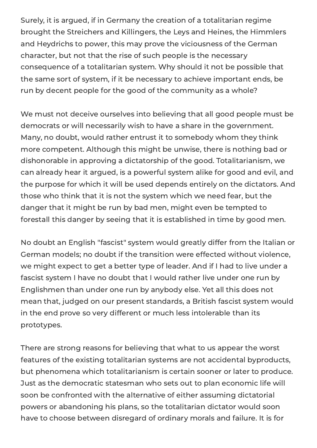Surely, it is argued, if in Germany the creation of a totalitarian regime brought the Streichers and Killingers, the Leys and Heines, the Himmlers and Heydrichs to power, this may prove the viciousness of the German character, but not that the rise of such people is the necessary consequence of a totalitarian system. Why should it not be possible that the same sort of system, if it be necessary to achieve important ends, be run by decent people for the good of the community as a whole?

We must not deceive ourselves into believing that all good people must be democrats or will necessarily wish to have a share in the government. Many, no doubt, would rather entrust it to somebody whom they think more competent. Although this might be unwise, there is nothing bad or dishonorable in approving a dictatorship of the good. Totalitarianism, we can already hear it argued, is a powerful system alike for good and evil, and the purpose for which it will be used depends entirely on the dictators. And those who think that it is not the system which we need fear, but the danger that it might be run by bad men, might even be tempted to forestall this danger by seeing that it is established in time by good men.

No doubt an English "fascist" system would greatly differ from the Italian or German models; no doubt if the transition were effected without violence, we might expect to get a better type of leader. And if I had to live under a fascist system I have no doubt that I would rather live under one run by Englishmen than under one run by anybody else. Yet all this does not mean that, judged on our present standards, a British fascist system would in the end prove so very different or much less intolerable than its prototypes.

There are strong reasons for believing that what to us appear the worst features of the existing totalitarian systems are not accidental byproducts, but phenomena which totalitarianism is certain sooner or later to produce. Just as the democratic statesman who sets out to plan economic life will soon be confronted with the alternative of either assuming dictatorial powers or abandoning his plans, so the totalitarian dictator would soon have to choose between disregard of ordinary morals and failure. It is for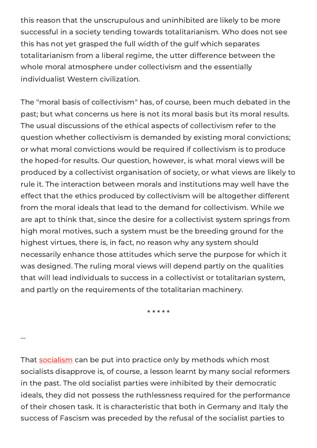this reason that the unscrupulous and uninhibited are likely to be more successful in a society tending towards totalitarianism. Who does not see this has not yet grasped the full width of the gulf which separates totalitarianism from a liberal regime, the utter difference between the whole moral atmosphere under collectivism and the essentially individualist Western civilization.

The "moral basis of collectivism" has, of course, been much debated in the past; but what concerns us here is not its moral basis but its moral results. The usual discussions of the ethical aspects of collectivism refer to the question whether collectivism is demanded by existing moral convictions; or what moral convictions would be required if collectivism is to produce the hoped-for results. Our question, however, is what moral views will be produced by a collectivist organisation of society, or what views are likely to rule it. The interaction between morals and institutions may well have the effect that the ethics produced by collectivism will be altogether different from the moral ideals that lead to the demand for collectivism. While we are apt to think that, since the desire for a collectivist system springs from high moral motives, such a system must be the breeding ground for the highest virtues, there is, in fact, no reason why any system should necessarily enhance those attitudes which serve the purpose for which it was designed. The ruling moral views will depend partly on the qualities that will lead individuals to success in a collectivist or totalitarian system, and partly on the requirements of the totalitarian machinery.

\* \* \* \* \*

…

That [socialism](https://fee.org/resources/the-xyz-s-of-socialism/) can be put into practice only by methods which most socialists disapprove is, of course, a lesson learnt by many social reformers in the past. The old socialist parties were inhibited by their democratic ideals, they did not possess the ruthlessness required for the performance of their chosen task. It is characteristic that both in Germany and Italy the success of Fascism was preceded by the refusal of the socialist parties to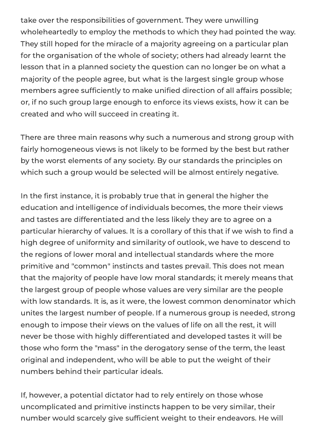take over the responsibilities of government. They were unwilling wholeheartedly to employ the methods to which they had pointed the way. They still hoped for the miracle of a majority agreeing on a particular plan for the organisation of the whole of society; others had already learnt the lesson that in a planned society the question can no longer be on what a majority of the people agree, but what is the largest single group whose members agree sufficiently to make unified direction of all affairs possible; or, if no such group large enough to enforce its views exists, how it can be created and who will succeed in creating it.

There are three main reasons why such a numerous and strong group with fairly homogeneous views is not likely to be formed by the best but rather by the worst elements of any society. By our standards the principles on which such a group would be selected will be almost entirely negative.

In the first instance, it is probably true that in general the higher the education and intelligence of individuals becomes, the more their views and tastes are differentiated and the less likely they are to agree on a particular hierarchy of values. It is a corollary of this that if we wish to find a high degree of uniformity and similarity of outlook, we have to descend to the regions of lower moral and intellectual standards where the more primitive and "common" instincts and tastes prevail. This does not mean that the majority of people have low moral standards; it merely means that the largest group of people whose values are very similar are the people with low standards. It is, as it were, the lowest common denominator which unites the largest number of people. If a numerous group is needed, strong enough to impose their views on the values of life on all the rest, it will never be those with highly differentiated and developed tastes it will be those who form the "mass" in the derogatory sense of the term, the least original and independent, who will be able to put the weight of their numbers behind their particular ideals.

If, however, a potential dictator had to rely entirely on those whose uncomplicated and primitive instincts happen to be very similar, their number would scarcely give sufficient weight to their endeavors. He will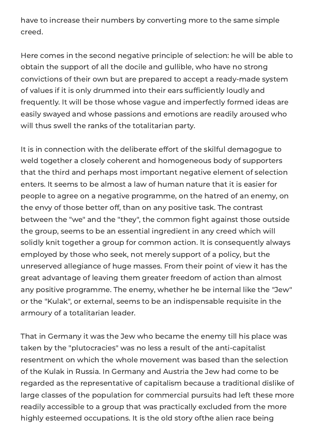have to increase their numbers by converting more to the same simple creed.

Here comes in the second negative principle of selection: he will be able to obtain the support of all the docile and gullible, who have no strong convictions of their own but are prepared to accept a ready-made system of values if it is only drummed into their ears sufficiently loudly and frequently. It will be those whose vague and imperfectly formed ideas are easily swayed and whose passions and emotions are readily aroused who will thus swell the ranks of the totalitarian party.

It is in connection with the deliberate effort of the skilful demagogue to weld together a closely coherent and homogeneous body of supporters that the third and perhaps most important negative element of selection enters. It seems to be almost a law of human nature that it is easier for people to agree on a negative programme, on the hatred of an enemy, on the envy of those better off, than on any positive task. The contrast between the "we" and the "they", the common fight against those outside the group, seems to be an essential ingredient in any creed which will solidly knit together a group for common action. It is consequently always employed by those who seek, not merely support of a policy, but the unreserved allegiance of huge masses. From their point of view it has the great advantage of leaving them greater freedom of action than almost any positive programme. The enemy, whether he be internal like the "Jew" or the "Kulak", or external, seems to be an indispensable requisite in the armoury of a totalitarian leader.

That in Germany it was the Jew who became the enemy till his place was taken by the "plutocracies" was no less a result of the anti-capitalist resentment on which the whole movement was based than the selection of the Kulak in Russia. In Germany and Austria the Jew had come to be regarded as the representative of capitalism because a traditional dislike of large classes of the population for commercial pursuits had left these more readily accessible to a group that was practically excluded from the more highly esteemed occupations. It is the old story ofthe alien race being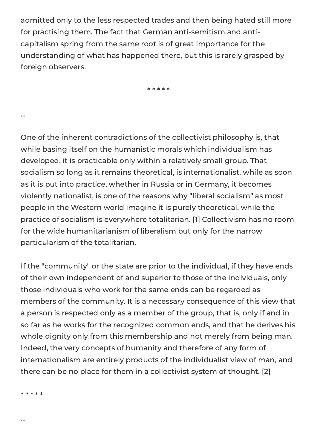admitted only to the less respected trades and then being hated still more for practising them. The fact that German anti-semitism and anticapitalism spring from the same root is of great importance for the understanding of what has happened there, but this is rarely grasped by foreign observers.

\* \* \* \* \*

…

One of the inherent contradictions of the collectivist philosophy is, that while basing itself on the humanistic morals which individualism has developed, it is practicable only within a relatively small group. That socialism so long as it remains theoretical, is internationalist, while as soon as it is put into practice, whether in Russia or in Germany, it becomes violently nationalist, is one of the reasons why "liberal socialism" as most people in the Western world imagine it is purely theoretical, while the practice of socialism is everywhere totalitarian. [1] Collectivism has no room for the wide humanitarianism of liberalism but only for the narrow particularism of the totalitarian.

If the "community" or the state are prior to the individual, if they have ends of their own independent of and superior to those of the individuals, only those individuals who work for the same ends can be regarded as members of the community. It is a necessary consequence of this view that a person is respected only as a member of the group, that is, only if and in so far as he works for the recognized common ends, and that he derives his whole dignity only from this membership and not merely from being man. Indeed, the very concepts of humanity and therefore of any form of internationalism are entirely products of the individualist view of man, and there can be no place for them in a collectivist system of thought. [2]

\* \* \* \* \*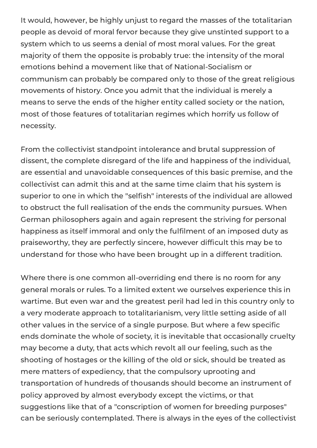It would, however, be highly unjust to regard the masses of the totalitarian people as devoid of moral fervor because they give unstinted support to a system which to us seems a denial of most moral values. For the great majority of them the opposite is probably true: the intensity of the moral emotions behind a movement like that of National-Socialism or communism can probably be compared only to those of the great religious movements of history. Once you admit that the individual is merely a means to serve the ends of the higher entity called society or the nation, most of those features of totalitarian regimes which horrify us follow of necessity.

From the collectivist standpoint intolerance and brutal suppression of dissent, the complete disregard of the life and happiness of the individual, are essential and unavoidable consequences of this basic premise, and the collectivist can admit this and at the same time claim that his system is superior to one in which the "selfish" interests of the individual are allowed to obstruct the full realisation of the ends the community pursues. When German philosophers again and again represent the striving for personal happiness as itself immoral and only the fulfilment of an imposed duty as praiseworthy, they are perfectly sincere, however difficult this may be to understand for those who have been brought up in a different tradition.

Where there is one common all-overriding end there is no room for any general morals or rules. To a limited extent we ourselves experience this in wartime. But even war and the greatest peril had led in this country only to a very moderate approach to totalitarianism, very little setting aside of all other values in the service of a single purpose. But where a few specific ends dominate the whole of society, it is inevitable that occasionally cruelty may become a duty, that acts which revolt all our feeling, such as the shooting of hostages or the killing of the old or sick, should be treated as mere matters of expediency, that the compulsory uprooting and transportation of hundreds of thousands should become an instrument of policy approved by almost everybody except the victims, or that suggestions like that of a "conscription of women for breeding purposes" can be seriously contemplated. There is always in the eyes of the collectivist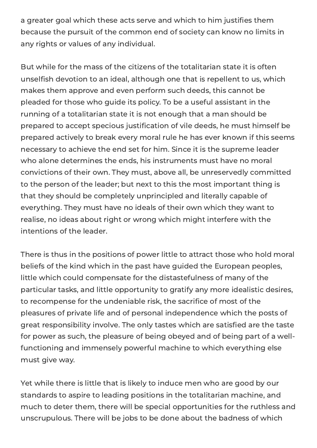a greater goal which these acts serve and which to him justifies them because the pursuit of the common end of society can know no limits in any rights or values of any individual.

But while for the mass of the citizens of the totalitarian state it is often unselfish devotion to an ideal, although one that is repellent to us, which makes them approve and even perform such deeds, this cannot be pleaded for those who guide its policy. To be a useful assistant in the running of a totalitarian state it is not enough that a man should be prepared to accept specious justification of vile deeds, he must himself be prepared actively to break every moral rule he has ever known if this seems necessary to achieve the end set for him. Since it is the supreme leader who alone determines the ends, his instruments must have no moral convictions of their own. They must, above all, be unreservedly committed to the person of the leader; but next to this the most important thing is that they should be completely unprincipled and literally capable of everything. They must have no ideals of their own which they want to realise, no ideas about right or wrong which might interfere with the intentions of the leader.

There is thus in the positions of power little to attract those who hold moral beliefs of the kind which in the past have guided the European peoples, little which could compensate for the distastefulness of many of the particular tasks, and little opportunity to gratify any more idealistic desires, to recompense for the undeniable risk, the sacrifice of most of the pleasures of private life and of personal independence which the posts of great responsibility involve. The only tastes which are satisfied are the taste for power as such, the pleasure of being obeyed and of being part of a wellfunctioning and immensely powerful machine to which everything else must give way.

Yet while there is little that is likely to induce men who are good by our standards to aspire to leading positions in the totalitarian machine, and much to deter them, there will be special opportunities for the ruthless and unscrupulous. There will be jobs to be done about the badness of which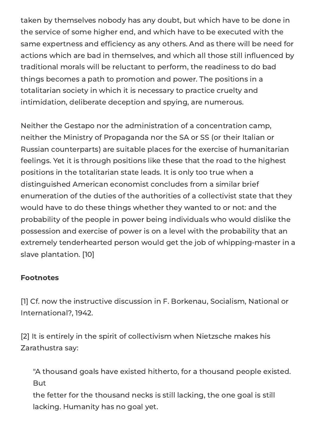taken by themselves nobody has any doubt, but which have to be done in the service of some higher end, and which have to be executed with the same expertness and efficiency as any others. And as there will be need for actions which are bad in themselves, and which all those still influenced by traditional morals will be reluctant to perform, the readiness to do bad things becomes a path to promotion and power. The positions in a totalitarian society in which it is necessary to practice cruelty and intimidation, deliberate deception and spying, are numerous.

Neither the Gestapo nor the administration of a concentration camp, neither the Ministry of Propaganda nor the SA or SS (or their Italian or Russian counterparts) are suitable places for the exercise of humanitarian feelings. Yet it is through positions like these that the road to the highest positions in the totalitarian state leads. It is only too true when a distinguished American economist concludes from a similar brief enumeration of the duties of the authorities of a collectivist state that they would have to do these things whether they wanted to or not: and the probability of the people in power being individuals who would dislike the possession and exercise of power is on a level with the probability that an extremely tenderhearted person would get the job of whipping-master in a slave plantation. [10]

## Footnotes

[1] Cf. now the instructive discussion in F. Borkenau, Socialism, National or International?, 1942.

[2] It is entirely in the spirit of collectivism when Nietzsche makes his Zarathustra say:

"A thousand goals have existed hitherto, for a thousand people existed. But

the fetter for the thousand necks is still lacking, the one goal is still lacking. Humanity has no goal yet.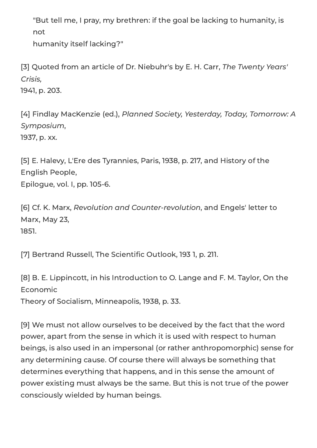"But tell me, I pray, my brethren: if the goal be lacking to humanity, is not

humanity itself lacking?"

[3] Quoted from an article of Dr. Niebuhr's by E. H. Carr, *The Twenty Years' Crisis,*

1941, p. 203.

[4] Findlay MacKenzie (ed.), *Planned Society, Yesterday, Today, Tomorrow: A Symposium*, 1937, p. xx.

[5] E. Halevy, L'Ere des Tyrannies, Paris, 1938, p. 217, and History of the English People,

Epilogue, vol. I, pp. 105-6.

[6] Cf. K. Marx, *Revolution and Counter-revolution*, and Engels' letter to Marx, May 23, 1851.

[7] Bertrand Russell, The Scientific Outlook, 193 1, p. 211.

[8] B. E. Lippincott, in his Introduction to O. Lange and F. M. Taylor, On the Economic

Theory of Socialism, Minneapolis, 1938, p. 33.

[9] We must not allow ourselves to be deceived by the fact that the word power, apart from the sense in which it is used with respect to human beings, is also used in an impersonal (or rather anthropomorphic) sense for any determining cause. Of course there will always be something that determines everything that happens, and in this sense the amount of power existing must always be the same. But this is not true of the power consciously wielded by human beings.